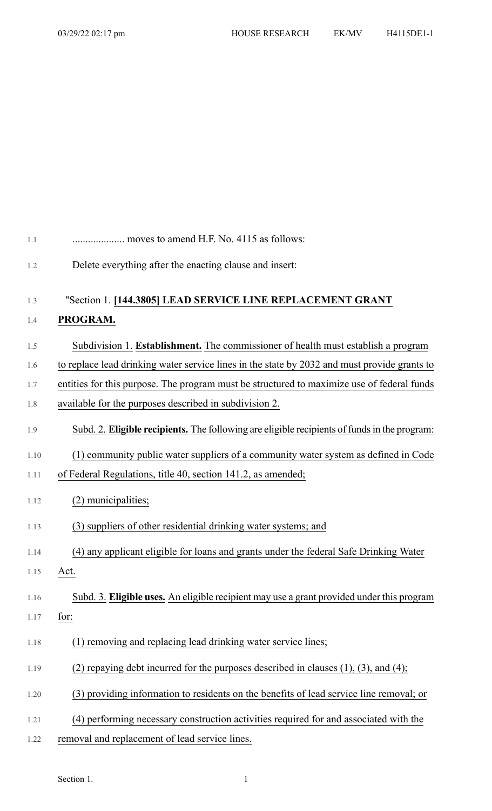| 1.1  | moves to amend H.F. No. 4115 as follows:                                                     |
|------|----------------------------------------------------------------------------------------------|
| 1.2  | Delete everything after the enacting clause and insert:                                      |
| 1.3  | "Section 1. [144.3805] LEAD SERVICE LINE REPLACEMENT GRANT                                   |
| 1.4  | PROGRAM.                                                                                     |
| 1.5  | Subdivision 1. Establishment. The commissioner of health must establish a program            |
| 1.6  | to replace lead drinking water service lines in the state by 2032 and must provide grants to |
| 1.7  | entities for this purpose. The program must be structured to maximize use of federal funds   |
| 1.8  | available for the purposes described in subdivision 2.                                       |
| 1.9  | Subd. 2. Eligible recipients. The following are eligible recipients of funds in the program: |
| 1.10 | (1) community public water suppliers of a community water system as defined in Code          |
| 1.11 | of Federal Regulations, title 40, section 141.2, as amended;                                 |
| 1.12 | (2) municipalities;                                                                          |
| 1.13 | (3) suppliers of other residential drinking water systems; and                               |
| 1.14 | (4) any applicant eligible for loans and grants under the federal Safe Drinking Water        |
| 1.15 | Act.                                                                                         |
| 1.16 | Subd. 3. Eligible uses. An eligible recipient may use a grant provided under this program    |
| 1.17 | for:                                                                                         |
| 1.18 | (1) removing and replacing lead drinking water service lines;                                |
| 1.19 | (2) repaying debt incurred for the purposes described in clauses $(1)$ , $(3)$ , and $(4)$ ; |
| 1.20 | (3) providing information to residents on the benefits of lead service line removal; or      |
| 1.21 | (4) performing necessary construction activities required for and associated with the        |
| 1.22 | removal and replacement of lead service lines.                                               |

Section 1.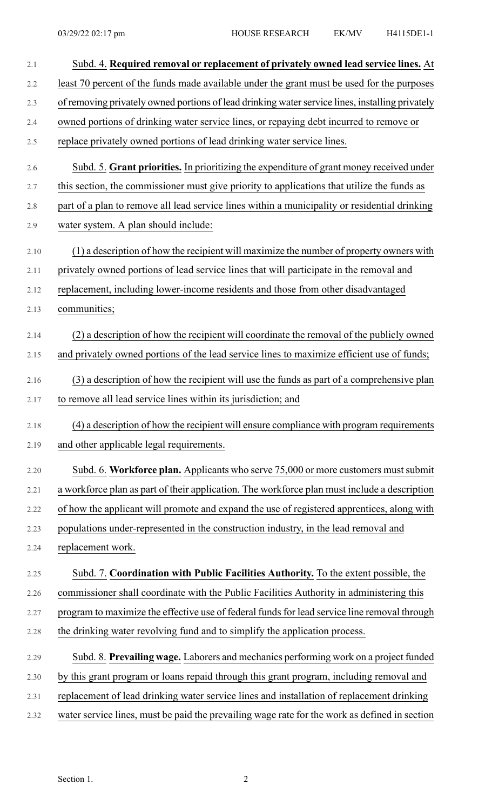| 2.1     | Subd. 4. Required removal or replacement of privately owned lead service lines. At              |
|---------|-------------------------------------------------------------------------------------------------|
| 2.2     | least 70 percent of the funds made available under the grant must be used for the purposes      |
| 2.3     | of removing privately owned portions of lead drinking water service lines, installing privately |
| 2.4     | owned portions of drinking water service lines, or repaying debt incurred to remove or          |
| $2.5\,$ | replace privately owned portions of lead drinking water service lines.                          |
| 2.6     | Subd. 5. Grant priorities. In prioritizing the expenditure of grant money received under        |
| 2.7     | this section, the commissioner must give priority to applications that utilize the funds as     |
| 2.8     | part of a plan to remove all lead service lines within a municipality or residential drinking   |
| 2.9     | water system. A plan should include:                                                            |
| 2.10    | (1) a description of how the recipient will maximize the number of property owners with         |
| 2.11    | privately owned portions of lead service lines that will participate in the removal and         |
| 2.12    | replacement, including lower-income residents and those from other disadvantaged                |
| 2.13    | communities;                                                                                    |
| 2.14    | (2) a description of how the recipient will coordinate the removal of the publicly owned        |
| 2.15    | and privately owned portions of the lead service lines to maximize efficient use of funds;      |
| 2.16    | (3) a description of how the recipient will use the funds as part of a comprehensive plan       |
| 2.17    | to remove all lead service lines within its jurisdiction; and                                   |
| 2.18    | (4) a description of how the recipient will ensure compliance with program requirements         |
| 2.19    | and other applicable legal requirements.                                                        |
| 2.20    | Subd. 6. Workforce plan. Applicants who serve 75,000 or more customers must submit              |
| 2.21    | a workforce plan as part of their application. The workforce plan must include a description    |
| 2.22    | of how the applicant will promote and expand the use of registered apprentices, along with      |
| 2.23    | populations under-represented in the construction industry, in the lead removal and             |
| 2.24    | replacement work.                                                                               |
| 2.25    | Subd. 7. Coordination with Public Facilities Authority. To the extent possible, the             |
| 2.26    | commissioner shall coordinate with the Public Facilities Authority in administering this        |
| 2.27    | program to maximize the effective use of federal funds for lead service line removal through    |
| 2.28    | the drinking water revolving fund and to simplify the application process.                      |
| 2.29    | Subd. 8. Prevailing wage. Laborers and mechanics performing work on a project funded            |
| 2.30    | by this grant program or loans repaid through this grant program, including removal and         |
| 2.31    | replacement of lead drinking water service lines and installation of replacement drinking       |
| 2.32    | water service lines, must be paid the prevailing wage rate for the work as defined in section   |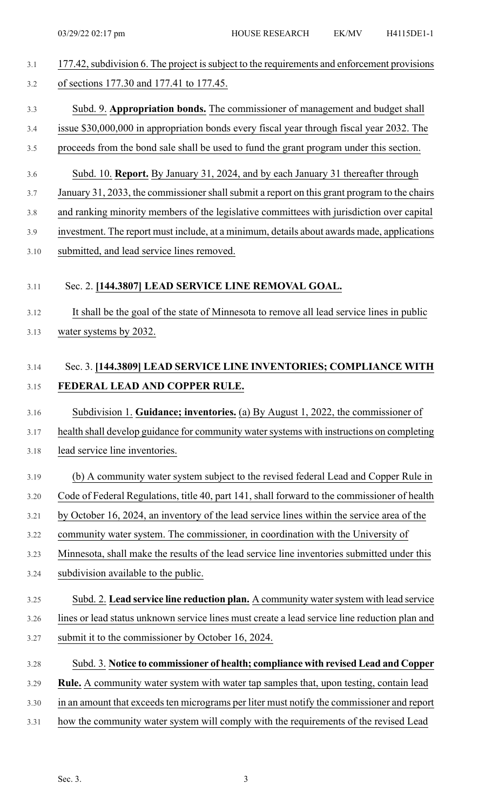| 3.1 | 177.42, subdivision 6. The project is subject to the requirements and enforcement provisions |  |
|-----|----------------------------------------------------------------------------------------------|--|
| 3.2 | of sections 177.30 and 177.41 to 177.45.                                                     |  |

#### 3.3 Subd. 9. **Appropriation bonds.** The commissioner of management and budget shall

# 3.4 issue \$30,000,000 in appropriation bonds every fiscal year through fiscal year 2032. The

- 3.5 proceeds from the bond sale shall be used to fund the grant program under this section.
- 3.6 Subd. 10. **Report.** By January 31, 2024, and by each January 31 thereafter through
- 3.7 January 31, 2033, the commissioner shall submit a report on this grant program to the chairs
- 3.8 and ranking minority members of the legislative committees with jurisdiction over capital
- 3.9 investment. The report must include, at a minimum, details about awards made, applications 3.10 submitted, and lead service lines removed.

#### 3.11 Sec. 2. **[144.3807] LEAD SERVICE LINE REMOVAL GOAL.**

- 3.12 It shall be the goal of the state of Minnesota to remove all lead service lines in public
- 3.13 water systems by 2032.

## 3.14 Sec. 3. **[144.3809] LEAD SERVICE LINE INVENTORIES; COMPLIANCE WITH** 3.15 **FEDERAL LEAD AND COPPER RULE.**

### 3.16 Subdivision 1. **Guidance; inventories.** (a) By August 1, 2022, the commissioner of

- 3.17 health shall develop guidance for community water systems with instructions on completing
- 3.18 lead service line inventories.
- 3.19 (b) A community water system subject to the revised federal Lead and Copper Rule in
- 3.20 Code of Federal Regulations, title 40, part 141, shall forward to the commissioner of health
- 3.21 by October 16, 2024, an inventory of the lead service lines within the service area of the
- 3.22 community water system. The commissioner, in coordination with the University of
- 3.23 Minnesota, shall make the results of the lead service line inventories submitted under this
- 3.24 subdivision available to the public.
- 3.25 Subd. 2. **Lead service line reduction plan.** A community watersystem with lead service 3.26 lines or lead status unknown service lines must create a lead service line reduction plan and 3.27 submit it to the commissioner by October 16, 2024.
- 3.28 Subd. 3. **Notice to commissioner of health; compliance with revised Lead and Copper**
- 3.29 **Rule.** A community water system with water tap samples that, upon testing, contain lead
- 3.30 in an amount that exceeds ten micrograms per liter must notify the commissioner and report
- 3.31 how the community water system will comply with the requirements of the revised Lead